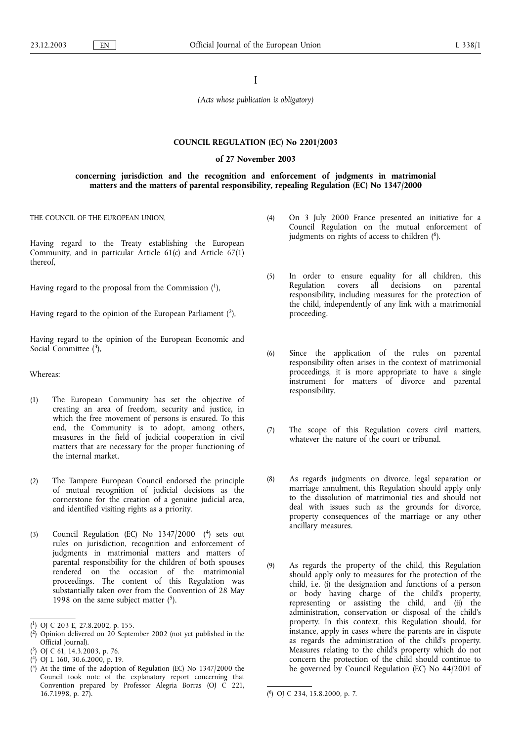## I

*(Acts whose publication is obligatory)*

## **COUNCIL REGULATION (EC) No 2201/2003**

## **of 27 November 2003**

**concerning jurisdiction and the recognition and enforcement of judgments in matrimonial matters and the matters of parental responsibility, repealing Regulation (EC) No 1347/2000**

THE COUNCIL OF THE EUROPEAN UNION,

Having regard to the Treaty establishing the European Community, and in particular Article 61(c) and Article 67(1) thereof,

Having regard to the proposal from the Commission  $(1)$ ,

Having regard to the opinion of the European Parliament  $(2)$ ,

Having regard to the opinion of the European Economic and Social Committee (3),

Whereas:

- (1) The European Community has set the objective of creating an area of freedom, security and justice, in which the free movement of persons is ensured. To this end, the Community is to adopt, among others, measures in the field of judicial cooperation in civil matters that are necessary for the proper functioning of the internal market.
- (2) The Tampere European Council endorsed the principle of mutual recognition of judicial decisions as the cornerstone for the creation of a genuine judicial area, and identified visiting rights as a priority.
- (3) Council Regulation (EC) No 1347/2000 (4) sets out rules on jurisdiction, recognition and enforcement of judgments in matrimonial matters and matters of parental responsibility for the children of both spouses rendered on the occasion of the matrimonial proceedings. The content of this Regulation was substantially taken over from the Convention of 28 May 1998 on the same subject matter  $(5)$ .
- (4) On 3 July 2000 France presented an initiative for a Council Regulation on the mutual enforcement of judgments on rights of access to children (<sup>6</sup>).
- (5) In order to ensure equality for all children, this Regulation covers all decisions on parental responsibility, including measures for the protection of the child, independently of any link with a matrimonial proceeding.
- (6) Since the application of the rules on parental responsibility often arises in the context of matrimonial proceedings, it is more appropriate to have a single instrument for matters of divorce and parental responsibility.
- (7) The scope of this Regulation covers civil matters, whatever the nature of the court or tribunal.
- (8) As regards judgments on divorce, legal separation or marriage annulment, this Regulation should apply only to the dissolution of matrimonial ties and should not deal with issues such as the grounds for divorce, property consequences of the marriage or any other ancillary measures.
- (9) As regards the property of the child, this Regulation should apply only to measures for the protection of the child, i.e. (i) the designation and functions of a person or body having charge of the child's property, representing or assisting the child, and (ii) the administration, conservation or disposal of the child's property. In this context, this Regulation should, for instance, apply in cases where the parents are in dispute as regards the administration of the child's property. Measures relating to the child's property which do not concern the protection of the child should continue to be governed by Council Regulation (EC) No 44/2001 of

<sup>(</sup> 1) OJ C 203 E, 27.8.2002, p. 155.

<sup>(</sup> 2) Opinion delivered on 20 September 2002 (not yet published in the Official Journal).

<sup>(</sup> 3) OJ C 61, 14.3.2003, p. 76.

<sup>(</sup> 4) OJ L 160, 30.6.2000, p. 19.

 $(5)$  At the time of the adoption of Regulation (EC) No 1347/2000 the Council took note of the explanatory report concerning that Convention prepared by Professor Alegria Borras (OJ C 221, 16.7.1998, p. 27). (

<sup>6)</sup> OJ C 234, 15.8.2000, p. 7.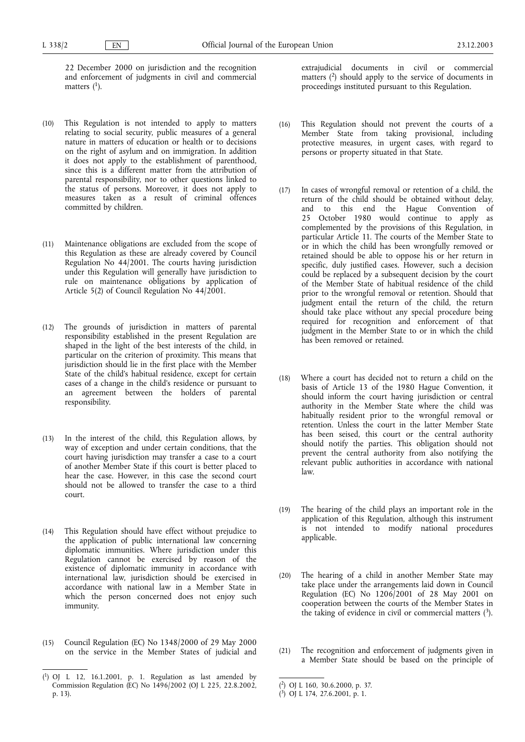22 December 2000 on jurisdiction and the recognition and enforcement of judgments in civil and commercial matters  $(1)$ .

- (10) This Regulation is not intended to apply to matters relating to social security, public measures of a general nature in matters of education or health or to decisions on the right of asylum and on immigration. In addition it does not apply to the establishment of parenthood, since this is a different matter from the attribution of parental responsibility, nor to other questions linked to the status of persons. Moreover, it does not apply to measures taken as a result of criminal offences committed by children.
- (11) Maintenance obligations are excluded from the scope of this Regulation as these are already covered by Council Regulation No 44/2001. The courts having jurisdiction under this Regulation will generally have jurisdiction to rule on maintenance obligations by application of Article 5(2) of Council Regulation No 44/2001.
- (12) The grounds of jurisdiction in matters of parental responsibility established in the present Regulation are shaped in the light of the best interests of the child, in particular on the criterion of proximity. This means that jurisdiction should lie in the first place with the Member State of the child's habitual residence, except for certain cases of a change in the child's residence or pursuant to an agreement between the holders of parental responsibility.
- (13) In the interest of the child, this Regulation allows, by way of exception and under certain conditions, that the court having jurisdiction may transfer a case to a court of another Member State if this court is better placed to hear the case. However, in this case the second court should not be allowed to transfer the case to a third court.
- (14) This Regulation should have effect without prejudice to the application of public international law concerning diplomatic immunities. Where jurisdiction under this Regulation cannot be exercised by reason of the existence of diplomatic immunity in accordance with international law, jurisdiction should be exercised in accordance with national law in a Member State in which the person concerned does not enjoy such immunity.
- (15) Council Regulation (EC) No 1348/2000 of 29 May 2000 on the service in the Member States of judicial and

extrajudicial documents in civil or commercial matters  $(2)$  should apply to the service of documents in proceedings instituted pursuant to this Regulation.

- (16) This Regulation should not prevent the courts of a Member State from taking provisional, including protective measures, in urgent cases, with regard to persons or property situated in that State.
- (17) In cases of wrongful removal or retention of a child, the return of the child should be obtained without delay, and to this end the Hague Convention of 25 October 1980 would continue to apply as complemented by the provisions of this Regulation, in particular Article 11. The courts of the Member State to or in which the child has been wrongfully removed or retained should be able to oppose his or her return in specific, duly justified cases. However, such a decision could be replaced by a subsequent decision by the court of the Member State of habitual residence of the child prior to the wrongful removal or retention. Should that judgment entail the return of the child, the return should take place without any special procedure being required for recognition and enforcement of that judgment in the Member State to or in which the child has been removed or retained.
- (18) Where a court has decided not to return a child on the basis of Article 13 of the 1980 Hague Convention, it should inform the court having jurisdiction or central authority in the Member State where the child was habitually resident prior to the wrongful removal or retention. Unless the court in the latter Member State has been seised, this court or the central authority should notify the parties. This obligation should not prevent the central authority from also notifying the relevant public authorities in accordance with national law.
- (19) The hearing of the child plays an important role in the application of this Regulation, although this instrument is not intended to modify national procedures applicable.
- (20) The hearing of a child in another Member State may take place under the arrangements laid down in Council Regulation (EC) No 1206/2001 of 28 May 2001 on cooperation between the courts of the Member States in the taking of evidence in civil or commercial matters  $(3)$ .
- (21) The recognition and enforcement of judgments given in a Member State should be based on the principle of

<sup>(</sup> 1) OJ L 12, 16.1.2001, p. 1. Regulation as last amended by Commission Regulation (EC) No 1496/2002 (OJ L 225, 22.8.2002, p. 13).

<sup>(</sup> 2) OJ L 160, 30.6.2000, p. 37.

<sup>(</sup> 3) OJ L 174, 27.6.2001, p. 1.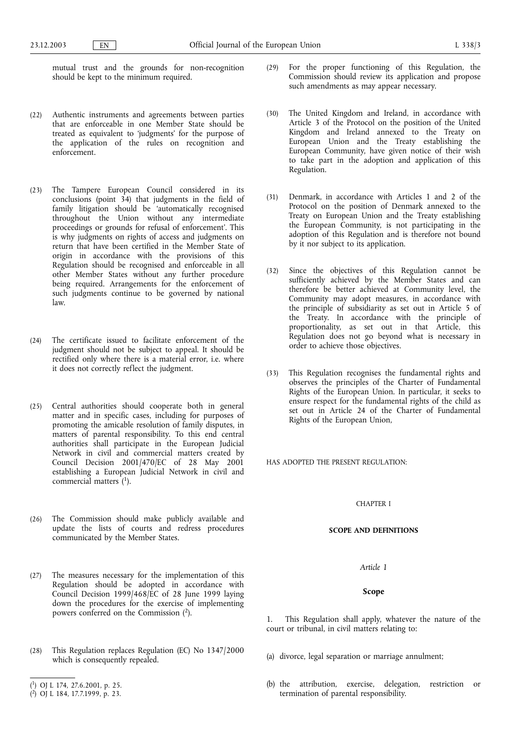mutual trust and the grounds for non-recognition should be kept to the minimum required.

- (22) Authentic instruments and agreements between parties that are enforceable in one Member State should be treated as equivalent to 'judgments' for the purpose of the application of the rules on recognition and enforcement.
- (23) The Tampere European Council considered in its conclusions (point 34) that judgments in the field of family litigation should be 'automatically recognised throughout the Union without any intermediate proceedings or grounds for refusal of enforcement'. This is why judgments on rights of access and judgments on return that have been certified in the Member State of origin in accordance with the provisions of this Regulation should be recognised and enforceable in all other Member States without any further procedure being required. Arrangements for the enforcement of such judgments continue to be governed by national law.
- (24) The certificate issued to facilitate enforcement of the judgment should not be subject to appeal. It should be rectified only where there is a material error, i.e. where it does not correctly reflect the judgment.
- (25) Central authorities should cooperate both in general matter and in specific cases, including for purposes of promoting the amicable resolution of family disputes, in matters of parental responsibility. To this end central authorities shall participate in the European Judicial Network in civil and commercial matters created by Council Decision 2001/470/EC of 28 May 2001 establishing a European Judicial Network in civil and commercial matters  $(1)$ .
- (26) The Commission should make publicly available and update the lists of courts and redress procedures communicated by the Member States.
- (27) The measures necessary for the implementation of this Regulation should be adopted in accordance with Council Decision 1999/468/EC of 28 June 1999 laying down the procedures for the exercise of implementing powers conferred on the Commission (2).
- (28) This Regulation replaces Regulation (EC) No 1347/2000 which is consequently repealed.
- ( 1) OJ L 174, 27.6.2001, p. 25.
- ( 2) OJ L 184, 17.7.1999, p. 23.
- (29) For the proper functioning of this Regulation, the Commission should review its application and propose such amendments as may appear necessary.
- (30) The United Kingdom and Ireland, in accordance with Article 3 of the Protocol on the position of the United Kingdom and Ireland annexed to the Treaty on European Union and the Treaty establishing the European Community, have given notice of their wish to take part in the adoption and application of this Regulation.
- (31) Denmark, in accordance with Articles 1 and 2 of the Protocol on the position of Denmark annexed to the Treaty on European Union and the Treaty establishing the European Community, is not participating in the adoption of this Regulation and is therefore not bound by it nor subject to its application.
- (32) Since the objectives of this Regulation cannot be sufficiently achieved by the Member States and can therefore be better achieved at Community level, the Community may adopt measures, in accordance with the principle of subsidiarity as set out in Article 5 of the Treaty. In accordance with the principle of proportionality, as set out in that Article, this Regulation does not go beyond what is necessary in order to achieve those objectives.
- (33) This Regulation recognises the fundamental rights and observes the principles of the Charter of Fundamental Rights of the European Union. In particular, it seeks to ensure respect for the fundamental rights of the child as set out in Article 24 of the Charter of Fundamental Rights of the European Union,

HAS ADOPTED THE PRESENT REGULATION:

#### CHAPTER I

#### **SCOPE AND DEFINITIONS**

#### *Article 1*

## **Scope**

1. This Regulation shall apply, whatever the nature of the court or tribunal, in civil matters relating to:

- (a) divorce, legal separation or marriage annulment;
- (b) the attribution, exercise, delegation, restriction or termination of parental responsibility.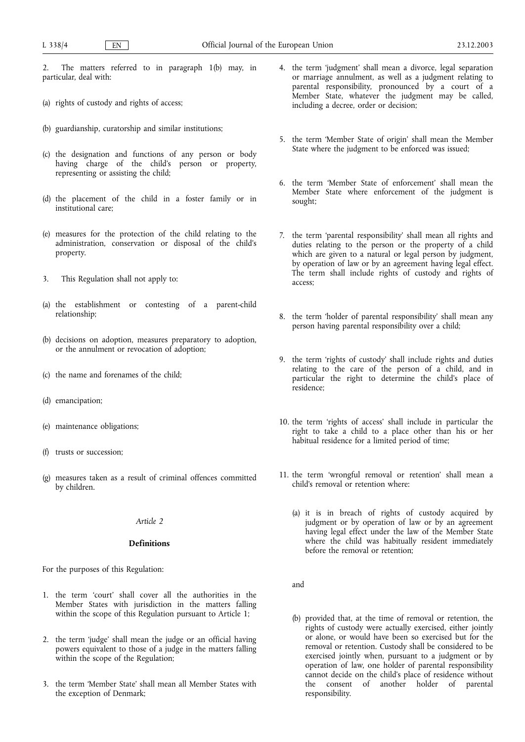2. The matters referred to in paragraph 1(b) may, in particular, deal with:

- (a) rights of custody and rights of access;
- (b) guardianship, curatorship and similar institutions;
- (c) the designation and functions of any person or body having charge of the child's person or property, representing or assisting the child;
- (d) the placement of the child in a foster family or in institutional care;
- (e) measures for the protection of the child relating to the administration, conservation or disposal of the child's property.
- 3. This Regulation shall not apply to:
- (a) the establishment or contesting of a parent-child relationship;
- (b) decisions on adoption, measures preparatory to adoption, or the annulment or revocation of adoption;
- (c) the name and forenames of the child;
- (d) emancipation;
- (e) maintenance obligations;
- (f) trusts or succession;
- (g) measures taken as a result of criminal offences committed by children.

#### *Article 2*

## **Definitions**

For the purposes of this Regulation:

- 1. the term 'court' shall cover all the authorities in the Member States with jurisdiction in the matters falling within the scope of this Regulation pursuant to Article 1;
- 2. the term 'judge' shall mean the judge or an official having powers equivalent to those of a judge in the matters falling within the scope of the Regulation;
- 3. the term 'Member State' shall mean all Member States with the exception of Denmark;
- 4. the term 'judgment' shall mean a divorce, legal separation or marriage annulment, as well as a judgment relating to parental responsibility, pronounced by a court of a Member State, whatever the judgment may be called, including a decree, order or decision;
- 5. the term 'Member State of origin' shall mean the Member State where the judgment to be enforced was issued;
- 6. the term 'Member State of enforcement' shall mean the Member State where enforcement of the judgment is sought;
- 7. the term 'parental responsibility' shall mean all rights and duties relating to the person or the property of a child which are given to a natural or legal person by judgment, by operation of law or by an agreement having legal effect. The term shall include rights of custody and rights of access;
- 8. the term 'holder of parental responsibility' shall mean any person having parental responsibility over a child;
- 9. the term 'rights of custody' shall include rights and duties relating to the care of the person of a child, and in particular the right to determine the child's place of residence;
- 10. the term 'rights of access' shall include in particular the right to take a child to a place other than his or her habitual residence for a limited period of time;
- 11. the term 'wrongful removal or retention' shall mean a child's removal or retention where:
	- (a) it is in breach of rights of custody acquired by judgment or by operation of law or by an agreement having legal effect under the law of the Member State where the child was habitually resident immediately before the removal or retention;
	- and
	- (b) provided that, at the time of removal or retention, the rights of custody were actually exercised, either jointly or alone, or would have been so exercised but for the removal or retention. Custody shall be considered to be exercised jointly when, pursuant to a judgment or by operation of law, one holder of parental responsibility cannot decide on the child's place of residence without the consent of another holder of parental responsibility.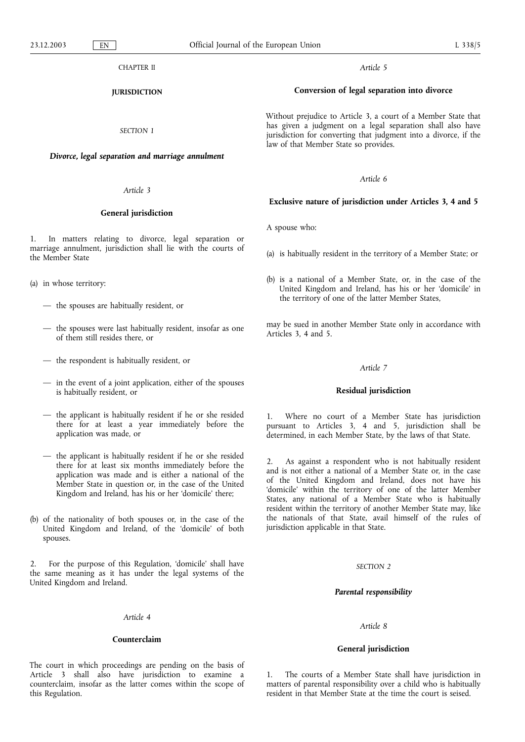CHAPTER II

**JURISDICTION**

*SECTION 1*

*Divorce, legal separation and marriage annulment*

*Article 3*

## **General jurisdiction**

1. In matters relating to divorce, legal separation or marriage annulment, jurisdiction shall lie with the courts of the Member State

(a) in whose territory:

- the spouses are habitually resident, or
- the spouses were last habitually resident, insofar as one of them still resides there, or
- the respondent is habitually resident, or
- in the event of a joint application, either of the spouses is habitually resident, or
- the applicant is habitually resident if he or she resided there for at least a year immediately before the application was made, or
- the applicant is habitually resident if he or she resided there for at least six months immediately before the application was made and is either a national of the Member State in question or, in the case of the United Kingdom and Ireland, has his or her 'domicile' there;
- (b) of the nationality of both spouses or, in the case of the United Kingdom and Ireland, of the 'domicile' of both spouses.

2. For the purpose of this Regulation, 'domicile' shall have the same meaning as it has under the legal systems of the United Kingdom and Ireland.

## *Article 4*

## **Counterclaim**

The court in which proceedings are pending on the basis of Article 3 shall also have jurisdiction to examine a counterclaim, insofar as the latter comes within the scope of this Regulation.

*Article 5*

## **Conversion of legal separation into divorce**

Without prejudice to Article 3, a court of a Member State that has given a judgment on a legal separation shall also have jurisdiction for converting that judgment into a divorce, if the law of that Member State so provides.

*Article 6*

#### **Exclusive nature of jurisdiction under Articles 3, 4 and 5**

A spouse who:

- (a) is habitually resident in the territory of a Member State; or
- (b) is a national of a Member State, or, in the case of the United Kingdom and Ireland, has his or her 'domicile' in the territory of one of the latter Member States,

may be sued in another Member State only in accordance with Articles 3, 4 and 5.

#### *Article 7*

## **Residual jurisdiction**

1. Where no court of a Member State has jurisdiction pursuant to Articles 3, 4 and 5, jurisdiction shall be determined, in each Member State, by the laws of that State.

2. As against a respondent who is not habitually resident and is not either a national of a Member State or, in the case of the United Kingdom and Ireland, does not have his 'domicile' within the territory of one of the latter Member States, any national of a Member State who is habitually resident within the territory of another Member State may, like the nationals of that State, avail himself of the rules of jurisdiction applicable in that State.

## *SECTION 2*

## *Parental responsibility*

## *Article 8*

#### **General jurisdiction**

1. The courts of a Member State shall have jurisdiction in matters of parental responsibility over a child who is habitually resident in that Member State at the time the court is seised.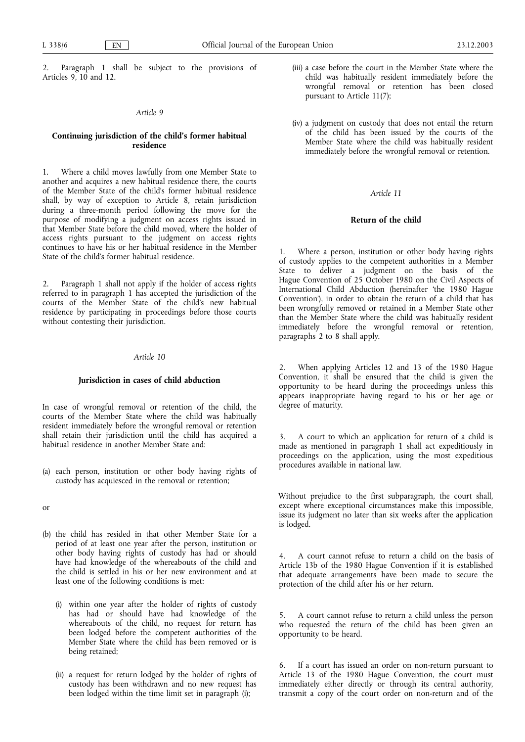Paragraph 1 shall be subject to the provisions of Articles 9, 10 and 12.

#### *Article 9*

## **Continuing jurisdiction of the child's former habitual residence**

1. Where a child moves lawfully from one Member State to another and acquires a new habitual residence there, the courts of the Member State of the child's former habitual residence shall, by way of exception to Article 8, retain jurisdiction during a three-month period following the move for the purpose of modifying a judgment on access rights issued in that Member State before the child moved, where the holder of access rights pursuant to the judgment on access rights continues to have his or her habitual residence in the Member State of the child's former habitual residence.

2. Paragraph 1 shall not apply if the holder of access rights referred to in paragraph 1 has accepted the jurisdiction of the courts of the Member State of the child's new habitual residence by participating in proceedings before those courts without contesting their jurisdiction.

#### *Article 10*

#### **Jurisdiction in cases of child abduction**

In case of wrongful removal or retention of the child, the courts of the Member State where the child was habitually resident immediately before the wrongful removal or retention shall retain their jurisdiction until the child has acquired a habitual residence in another Member State and:

- (a) each person, institution or other body having rights of custody has acquiesced in the removal or retention;
- or
- (b) the child has resided in that other Member State for a period of at least one year after the person, institution or other body having rights of custody has had or should have had knowledge of the whereabouts of the child and the child is settled in his or her new environment and at least one of the following conditions is met:
	- (i) within one year after the holder of rights of custody has had or should have had knowledge of the whereabouts of the child, no request for return has been lodged before the competent authorities of the Member State where the child has been removed or is being retained;
	- (ii) a request for return lodged by the holder of rights of custody has been withdrawn and no new request has been lodged within the time limit set in paragraph (i);
- (iii) a case before the court in the Member State where the child was habitually resident immediately before the wrongful removal or retention has been closed pursuant to Article 11(7);
- (iv) a judgment on custody that does not entail the return of the child has been issued by the courts of the Member State where the child was habitually resident immediately before the wrongful removal or retention.

#### *Article 11*

## **Return of the child**

Where a person, institution or other body having rights of custody applies to the competent authorities in a Member State to deliver a judgment on the basis of the Hague Convention of 25 October 1980 on the Civil Aspects of International Child Abduction (hereinafter 'the 1980 Hague Convention'), in order to obtain the return of a child that has been wrongfully removed or retained in a Member State other than the Member State where the child was habitually resident immediately before the wrongful removal or retention, paragraphs 2 to 8 shall apply.

2. When applying Articles 12 and 13 of the 1980 Hague Convention, it shall be ensured that the child is given the opportunity to be heard during the proceedings unless this appears inappropriate having regard to his or her age or degree of maturity.

3. A court to which an application for return of a child is made as mentioned in paragraph 1 shall act expeditiously in proceedings on the application, using the most expeditious procedures available in national law.

Without prejudice to the first subparagraph, the court shall, except where exceptional circumstances make this impossible, issue its judgment no later than six weeks after the application is lodged.

4. A court cannot refuse to return a child on the basis of Article 13b of the 1980 Hague Convention if it is established that adequate arrangements have been made to secure the protection of the child after his or her return.

5. A court cannot refuse to return a child unless the person who requested the return of the child has been given an opportunity to be heard.

6. If a court has issued an order on non-return pursuant to Article 13 of the 1980 Hague Convention, the court must immediately either directly or through its central authority, transmit a copy of the court order on non-return and of the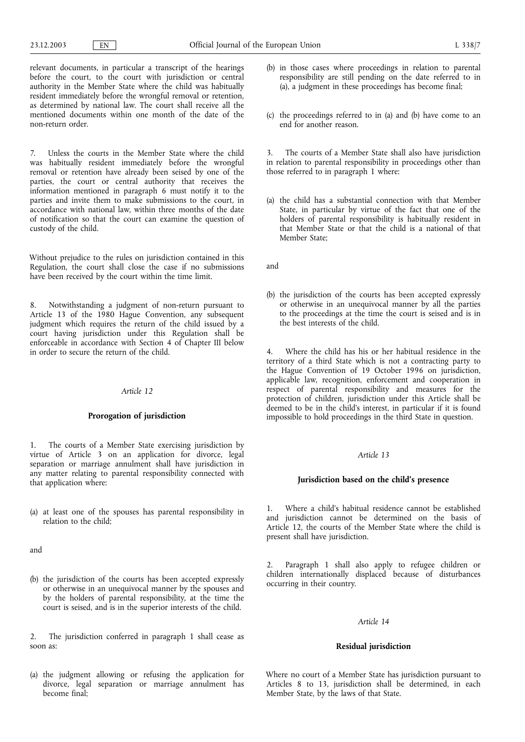relevant documents, in particular a transcript of the hearings before the court, to the court with jurisdiction or central authority in the Member State where the child was habitually resident immediately before the wrongful removal or retention, as determined by national law. The court shall receive all the mentioned documents within one month of the date of the non-return order.

7. Unless the courts in the Member State where the child was habitually resident immediately before the wrongful removal or retention have already been seised by one of the parties, the court or central authority that receives the information mentioned in paragraph 6 must notify it to the parties and invite them to make submissions to the court, in accordance with national law, within three months of the date of notification so that the court can examine the question of custody of the child.

Without prejudice to the rules on jurisdiction contained in this Regulation, the court shall close the case if no submissions have been received by the court within the time limit.

8. Notwithstanding a judgment of non-return pursuant to Article 13 of the 1980 Hague Convention, any subsequent judgment which requires the return of the child issued by a court having jurisdiction under this Regulation shall be enforceable in accordance with Section 4 of Chapter III below in order to secure the return of the child.

## *Article 12*

## **Prorogation of jurisdiction**

1. The courts of a Member State exercising jurisdiction by virtue of Article 3 on an application for divorce, legal separation or marriage annulment shall have jurisdiction in any matter relating to parental responsibility connected with that application where:

(a) at least one of the spouses has parental responsibility in relation to the child;

and

(b) the jurisdiction of the courts has been accepted expressly or otherwise in an unequivocal manner by the spouses and by the holders of parental responsibility, at the time the court is seised, and is in the superior interests of the child.

2. The jurisdiction conferred in paragraph 1 shall cease as soon as:

(a) the judgment allowing or refusing the application for divorce, legal separation or marriage annulment has become final;

- (b) in those cases where proceedings in relation to parental responsibility are still pending on the date referred to in (a), a judgment in these proceedings has become final;
- (c) the proceedings referred to in (a) and (b) have come to an end for another reason.

3. The courts of a Member State shall also have jurisdiction in relation to parental responsibility in proceedings other than those referred to in paragraph 1 where:

(a) the child has a substantial connection with that Member State, in particular by virtue of the fact that one of the holders of parental responsibility is habitually resident in that Member State or that the child is a national of that Member State;

and

(b) the jurisdiction of the courts has been accepted expressly or otherwise in an unequivocal manner by all the parties to the proceedings at the time the court is seised and is in the best interests of the child.

4. Where the child has his or her habitual residence in the territory of a third State which is not a contracting party to the Hague Convention of 19 October 1996 on jurisdiction, applicable law, recognition, enforcement and cooperation in respect of parental responsibility and measures for the protection of children, jurisdiction under this Article shall be deemed to be in the child's interest, in particular if it is found impossible to hold proceedings in the third State in question.

## *Article 13*

#### **Jurisdiction based on the child's presence**

1. Where a child's habitual residence cannot be established and jurisdiction cannot be determined on the basis of Article 12, the courts of the Member State where the child is present shall have jurisdiction.

2. Paragraph 1 shall also apply to refugee children or children internationally displaced because of disturbances occurring in their country.

## *Article 14*

#### **Residual jurisdiction**

Where no court of a Member State has jurisdiction pursuant to Articles 8 to 13, jurisdiction shall be determined, in each Member State, by the laws of that State.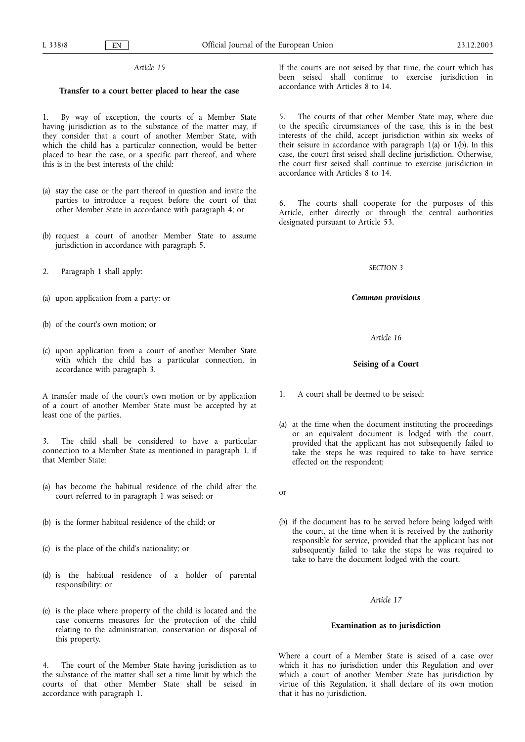## **Transfer to a court better placed to hear the case**

By way of exception, the courts of a Member State having jurisdiction as to the substance of the matter may, if they consider that a court of another Member State, with which the child has a particular connection, would be better placed to hear the case, or a specific part thereof, and where this is in the best interests of the child:

- (a) stay the case or the part thereof in question and invite the parties to introduce a request before the court of that other Member State in accordance with paragraph 4; or
- (b) request a court of another Member State to assume jurisdiction in accordance with paragraph 5.
- 2. Paragraph 1 shall apply:
- (a) upon application from a party; or
- (b) of the court's own motion; or
- (c) upon application from a court of another Member State with which the child has a particular connection, in accordance with paragraph 3.

A transfer made of the court's own motion or by application of a court of another Member State must be accepted by at least one of the parties.

3. The child shall be considered to have a particular connection to a Member State as mentioned in paragraph 1, if that Member State:

- (a) has become the habitual residence of the child after the court referred to in paragraph 1 was seised; or
- (b) is the former habitual residence of the child; or
- (c) is the place of the child's nationality; or
- (d) is the habitual residence of a holder of parental responsibility; or
- (e) is the place where property of the child is located and the case concerns measures for the protection of the child relating to the administration, conservation or disposal of this property.

4. The court of the Member State having jurisdiction as to the substance of the matter shall set a time limit by which the courts of that other Member State shall be seised in accordance with paragraph 1.

If the courts are not seised by that time, the court which has been seised shall continue to exercise jurisdiction in accordance with Articles 8 to 14.

5. The courts of that other Member State may, where due to the specific circumstances of the case, this is in the best interests of the child, accept jurisdiction within six weeks of their seisure in accordance with paragraph 1(a) or 1(b). In this case, the court first seised shall decline jurisdiction. Otherwise, the court first seised shall continue to exercise jurisdiction in accordance with Articles 8 to 14.

6. The courts shall cooperate for the purposes of this Article, either directly or through the central authorities designated pursuant to Article 53.

*SECTION 3*

*Common provisions*

#### *Article 16*

## **Seising of a Court**

- 1. A court shall be deemed to be seised:
- (a) at the time when the document instituting the proceedings or an equivalent document is lodged with the court, provided that the applicant has not subsequently failed to take the steps he was required to take to have service effected on the respondent;
- or
- (b) if the document has to be served before being lodged with the court, at the time when it is received by the authority responsible for service, provided that the applicant has not subsequently failed to take the steps he was required to take to have the document lodged with the court.

## *Article 17*

#### **Examination as to jurisdiction**

Where a court of a Member State is seised of a case over which it has no jurisdiction under this Regulation and over which a court of another Member State has jurisdiction by virtue of this Regulation, it shall declare of its own motion that it has no jurisdiction.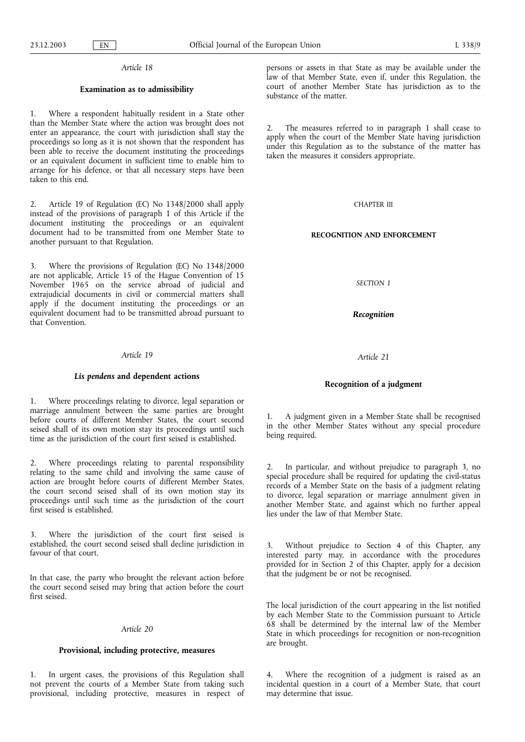#### **Examination as to admissibility**

1. Where a respondent habitually resident in a State other than the Member State where the action was brought does not enter an appearance, the court with jurisdiction shall stay the proceedings so long as it is not shown that the respondent has been able to receive the document instituting the proceedings or an equivalent document in sufficient time to enable him to arrange for his defence, or that all necessary steps have been taken to this end.

2. Article 19 of Regulation (EC) No 1348/2000 shall apply instead of the provisions of paragraph 1 of this Article if the document instituting the proceedings or an equivalent document had to be transmitted from one Member State to another pursuant to that Regulation.

3. Where the provisions of Regulation (EC) No 1348/2000 are not applicable, Article 15 of the Hague Convention of 15 November 1965 on the service abroad of judicial and extrajudicial documents in civil or commercial matters shall apply if the document instituting the proceedings or an equivalent document had to be transmitted abroad pursuant to that Convention.

#### *Article 19*

#### *Lis pendens* **and dependent actions**

1. Where proceedings relating to divorce, legal separation or marriage annulment between the same parties are brought before courts of different Member States, the court second seised shall of its own motion stay its proceedings until such time as the jurisdiction of the court first seised is established.

2. Where proceedings relating to parental responsibility relating to the same child and involving the same cause of action are brought before courts of different Member States, the court second seised shall of its own motion stay its proceedings until such time as the jurisdiction of the court first seised is established.

3. Where the jurisdiction of the court first seised is established, the court second seised shall decline jurisdiction in favour of that court.

In that case, the party who brought the relevant action before the court second seised may bring that action before the court first seised.

## *Article 20*

## **Provisional, including protective, measures**

1. In urgent cases, the provisions of this Regulation shall not prevent the courts of a Member State from taking such provisional, including protective, measures in respect of

persons or assets in that State as may be available under the law of that Member State, even if, under this Regulation, the court of another Member State has jurisdiction as to the substance of the matter.

2. The measures referred to in paragraph 1 shall cease to apply when the court of the Member State having jurisdiction under this Regulation as to the substance of the matter has taken the measures it considers appropriate.

#### CHAPTER III

#### **RECOGNITION AND ENFORCEMENT**

*SECTION 1*

*Recognition*

*Article 21*

## **Recognition of a judgment**

1. A judgment given in a Member State shall be recognised in the other Member States without any special procedure being required.

2. In particular, and without prejudice to paragraph 3, no special procedure shall be required for updating the civil-status records of a Member State on the basis of a judgment relating to divorce, legal separation or marriage annulment given in another Member State, and against which no further appeal lies under the law of that Member State.

3. Without prejudice to Section 4 of this Chapter, any interested party may, in accordance with the procedures provided for in Section 2 of this Chapter, apply for a decision that the judgment be or not be recognised.

The local jurisdiction of the court appearing in the list notified by each Member State to the Commission pursuant to Article 68 shall be determined by the internal law of the Member State in which proceedings for recognition or non-recognition are brought.

4. Where the recognition of a judgment is raised as an incidental question in a court of a Member State, that court may determine that issue.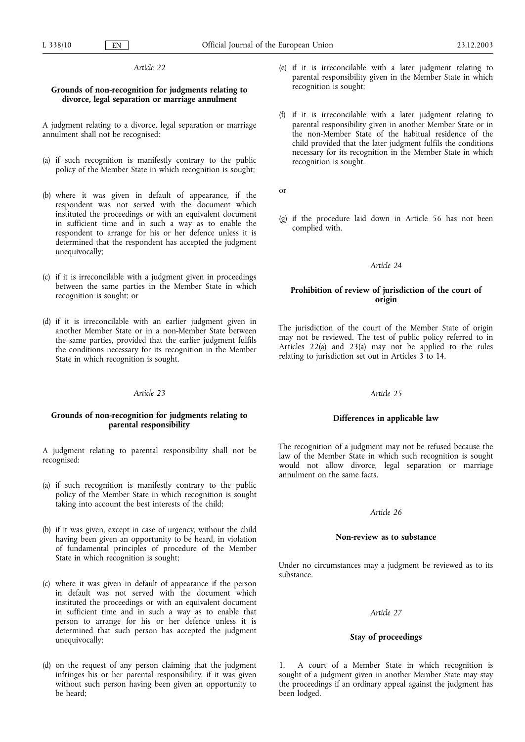## **Grounds of non-recognition for judgments relating to divorce, legal separation or marriage annulment**

A judgment relating to a divorce, legal separation or marriage annulment shall not be recognised:

- (a) if such recognition is manifestly contrary to the public policy of the Member State in which recognition is sought;
- (b) where it was given in default of appearance, if the respondent was not served with the document which instituted the proceedings or with an equivalent document in sufficient time and in such a way as to enable the respondent to arrange for his or her defence unless it is determined that the respondent has accepted the judgment unequivocally;
- (c) if it is irreconcilable with a judgment given in proceedings between the same parties in the Member State in which recognition is sought; or
- (d) if it is irreconcilable with an earlier judgment given in another Member State or in a non-Member State between the same parties, provided that the earlier judgment fulfils the conditions necessary for its recognition in the Member State in which recognition is sought.

#### *Article 23*

## **Grounds of non-recognition for judgments relating to parental responsibility**

A judgment relating to parental responsibility shall not be recognised:

- (a) if such recognition is manifestly contrary to the public policy of the Member State in which recognition is sought taking into account the best interests of the child;
- (b) if it was given, except in case of urgency, without the child having been given an opportunity to be heard, in violation of fundamental principles of procedure of the Member State in which recognition is sought;
- (c) where it was given in default of appearance if the person in default was not served with the document which instituted the proceedings or with an equivalent document in sufficient time and in such a way as to enable that person to arrange for his or her defence unless it is determined that such person has accepted the judgment unequivocally;
- (d) on the request of any person claiming that the judgment infringes his or her parental responsibility, if it was given without such person having been given an opportunity to be heard;
- (e) if it is irreconcilable with a later judgment relating to parental responsibility given in the Member State in which recognition is sought;
- (f) if it is irreconcilable with a later judgment relating to parental responsibility given in another Member State or in the non-Member State of the habitual residence of the child provided that the later judgment fulfils the conditions necessary for its recognition in the Member State in which recognition is sought.

or

(g) if the procedure laid down in Article 56 has not been complied with.

## *Article 24*

## **Prohibition of review of jurisdiction of the court of origin**

The jurisdiction of the court of the Member State of origin may not be reviewed. The test of public policy referred to in Articles 22(a) and 23(a) may not be applied to the rules relating to jurisdiction set out in Articles 3 to 14.

#### *Article 25*

### **Differences in applicable law**

The recognition of a judgment may not be refused because the law of the Member State in which such recognition is sought would not allow divorce, legal separation or marriage annulment on the same facts.

#### *Article 26*

#### **Non-review as to substance**

Under no circumstances may a judgment be reviewed as to its substance.

#### *Article 27*

## **Stay of proceedings**

1. A court of a Member State in which recognition is sought of a judgment given in another Member State may stay the proceedings if an ordinary appeal against the judgment has been lodged.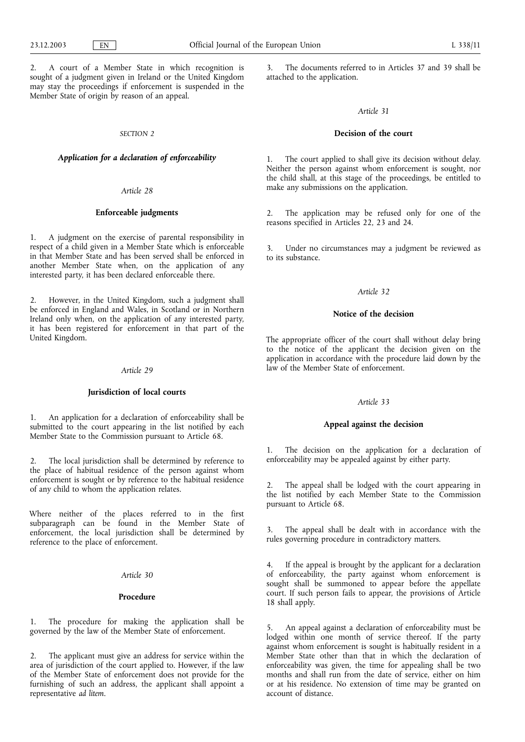2. A court of a Member State in which recognition is sought of a judgment given in Ireland or the United Kingdom may stay the proceedings if enforcement is suspended in the Member State of origin by reason of an appeal.

## *SECTION 2*

#### *Application for a declaration of enforceability*

#### *Article 28*

## **Enforceable judgments**

1. A judgment on the exercise of parental responsibility in respect of a child given in a Member State which is enforceable in that Member State and has been served shall be enforced in another Member State when, on the application of any interested party, it has been declared enforceable there.

2. However, in the United Kingdom, such a judgment shall be enforced in England and Wales, in Scotland or in Northern Ireland only when, on the application of any interested party, it has been registered for enforcement in that part of the United Kingdom.

#### *Article 29*

#### **Jurisdiction of local courts**

An application for a declaration of enforceability shall be submitted to the court appearing in the list notified by each Member State to the Commission pursuant to Article 68.

2. The local jurisdiction shall be determined by reference to the place of habitual residence of the person against whom enforcement is sought or by reference to the habitual residence of any child to whom the application relates.

Where neither of the places referred to in the first subparagraph can be found in the Member State of enforcement, the local jurisdiction shall be determined by reference to the place of enforcement.

#### *Article 30*

#### **Procedure**

1. The procedure for making the application shall be governed by the law of the Member State of enforcement.

2. The applicant must give an address for service within the area of jurisdiction of the court applied to. However, if the law of the Member State of enforcement does not provide for the furnishing of such an address, the applicant shall appoint a representative *ad litem*.

3. The documents referred to in Articles 37 and 39 shall be attached to the application.

### *Article 31*

## **Decision of the court**

1. The court applied to shall give its decision without delay. Neither the person against whom enforcement is sought, nor the child shall, at this stage of the proceedings, be entitled to make any submissions on the application.

2. The application may be refused only for one of the reasons specified in Articles 22, 23 and 24.

3. Under no circumstances may a judgment be reviewed as to its substance.

#### *Article 32*

## **Notice of the decision**

The appropriate officer of the court shall without delay bring to the notice of the applicant the decision given on the application in accordance with the procedure laid down by the law of the Member State of enforcement.

#### *Article 33*

#### **Appeal against the decision**

1. The decision on the application for a declaration of enforceability may be appealed against by either party.

2. The appeal shall be lodged with the court appearing in the list notified by each Member State to the Commission pursuant to Article 68.

3. The appeal shall be dealt with in accordance with the rules governing procedure in contradictory matters.

4. If the appeal is brought by the applicant for a declaration of enforceability, the party against whom enforcement is sought shall be summoned to appear before the appellate court. If such person fails to appear, the provisions of Article 18 shall apply.

5. An appeal against a declaration of enforceability must be lodged within one month of service thereof. If the party against whom enforcement is sought is habitually resident in a Member State other than that in which the declaration of enforceability was given, the time for appealing shall be two months and shall run from the date of service, either on him or at his residence. No extension of time may be granted on account of distance.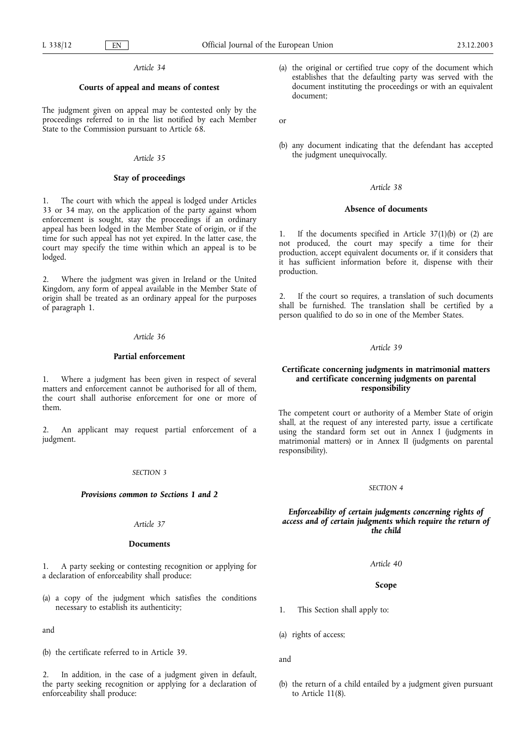## **Courts of appeal and means of contest**

The judgment given on appeal may be contested only by the proceedings referred to in the list notified by each Member State to the Commission pursuant to Article 68.

## *Article 35*

## **Stay of proceedings**

The court with which the appeal is lodged under Articles 33 or 34 may, on the application of the party against whom enforcement is sought, stay the proceedings if an ordinary appeal has been lodged in the Member State of origin, or if the time for such appeal has not yet expired. In the latter case, the court may specify the time within which an appeal is to be lodged.

2. Where the judgment was given in Ireland or the United Kingdom, any form of appeal available in the Member State of origin shall be treated as an ordinary appeal for the purposes of paragraph 1.

#### *Article 36*

## **Partial enforcement**

1. Where a judgment has been given in respect of several matters and enforcement cannot be authorised for all of them, the court shall authorise enforcement for one or more of them.

2. An applicant may request partial enforcement of a judgment.

#### *SECTION 3*

#### *Provisions common to Sections 1 and 2*

## *Article 37*

#### **Documents**

1. A party seeking or contesting recognition or applying for a declaration of enforceability shall produce:

(a) a copy of the judgment which satisfies the conditions necessary to establish its authenticity;

and

(b) the certificate referred to in Article 39.

In addition, in the case of a judgment given in default, the party seeking recognition or applying for a declaration of enforceability shall produce:

- (a) the original or certified true copy of the document which establishes that the defaulting party was served with the document instituting the proceedings or with an equivalent document;
- or
- (b) any document indicating that the defendant has accepted the judgment unequivocally.

#### *Article 38*

## **Absence of documents**

1. If the documents specified in Article 37(1)(b) or (2) are not produced, the court may specify a time for their production, accept equivalent documents or, if it considers that it has sufficient information before it, dispense with their production.

2. If the court so requires, a translation of such documents shall be furnished. The translation shall be certified by a person qualified to do so in one of the Member States.

#### *Article 39*

## **Certificate concerning judgments in matrimonial matters and certificate concerning judgments on parental responsibility**

The competent court or authority of a Member State of origin shall, at the request of any interested party, issue a certificate using the standard form set out in Annex I (judgments in matrimonial matters) or in Annex II (judgments on parental responsibility).

#### *SECTION 4*

## *Enforceability of certain judgments concerning rights of access and of certain judgments which require the return of the child*

*Article 40*

#### **Scope**

- 1. This Section shall apply to:
- (a) rights of access;

and

(b) the return of a child entailed by a judgment given pursuant to Article 11(8).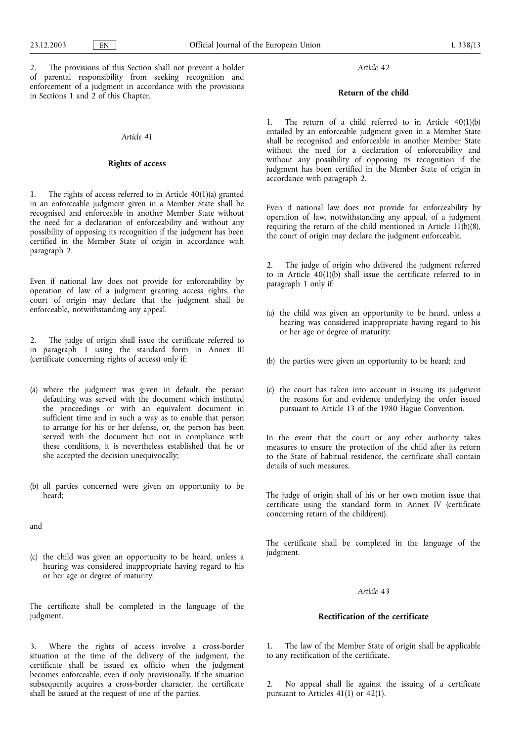2. The provisions of this Section shall not prevent a holder of parental responsibility from seeking recognition and enforcement of a judgment in accordance with the provisions in Sections 1 and 2 of this Chapter.

#### *Article 41*

## **Rights of access**

1. The rights of access referred to in Article 40(1)(a) granted in an enforceable judgment given in a Member State shall be recognised and enforceable in another Member State without the need for a declaration of enforceability and without any possibility of opposing its recognition if the judgment has been certified in the Member State of origin in accordance with paragraph 2.

Even if national law does not provide for enforceability by operation of law of a judgment granting access rights, the court of origin may declare that the judgment shall be enforceable, notwithstanding any appeal.

2. The judge of origin shall issue the certificate referred to in paragraph 1 using the standard form in Annex III (certificate concerning rights of access) only if:

- (a) where the judgment was given in default, the person defaulting was served with the document which instituted the proceedings or with an equivalent document in sufficient time and in such a way as to enable that person to arrange for his or her defense, or, the person has been served with the document but not in compliance with these conditions, it is nevertheless established that he or she accepted the decision unequivocally;
- (b) all parties concerned were given an opportunity to be heard;

and

(c) the child was given an opportunity to be heard, unless a hearing was considered inappropriate having regard to his or her age or degree of maturity.

The certificate shall be completed in the language of the judgment.

3. Where the rights of access involve a cross-border situation at the time of the delivery of the judgment, the certificate shall be issued ex officio when the judgment becomes enforceable, even if only provisionally. If the situation subsequently acquires a cross-border character, the certificate shall be issued at the request of one of the parties.

*Article 42*

# **Return of the child**

1. The return of a child referred to in Article 40(1)(b) entailed by an enforceable judgment given in a Member State shall be recognised and enforceable in another Member State without the need for a declaration of enforceability and without any possibility of opposing its recognition if the judgment has been certified in the Member State of origin in accordance with paragraph 2.

Even if national law does not provide for enforceability by operation of law, notwithstanding any appeal, of a judgment requiring the return of the child mentioned in Article 11(b)(8), the court of origin may declare the judgment enforceable.

2. The judge of origin who delivered the judgment referred to in Article 40(1)(b) shall issue the certificate referred to in paragraph 1 only if:

- (a) the child was given an opportunity to be heard, unless a hearing was considered inappropriate having regard to his or her age or degree of maturity;
- (b) the parties were given an opportunity to be heard; and
- (c) the court has taken into account in issuing its judgment the reasons for and evidence underlying the order issued pursuant to Article 13 of the 1980 Hague Convention.

In the event that the court or any other authority takes measures to ensure the protection of the child after its return to the State of habitual residence, the certificate shall contain details of such measures.

The judge of origin shall of his or her own motion issue that certificate using the standard form in Annex IV (certificate concerning return of the child(ren)).

The certificate shall be completed in the language of the judgment.

#### *Article 43*

## **Rectification of the certificate**

1. The law of the Member State of origin shall be applicable to any rectification of the certificate.

2. No appeal shall lie against the issuing of a certificate pursuant to Articles 41(1) or 42(1).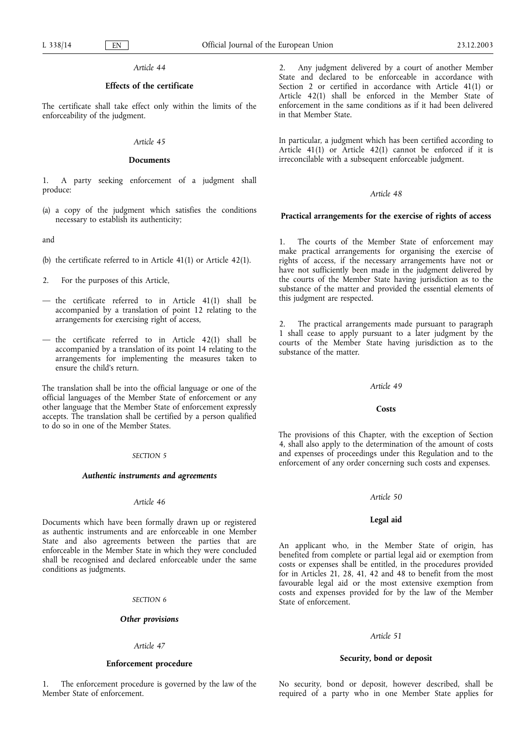## **Effects of the certificate**

The certificate shall take effect only within the limits of the enforceability of the judgment.

## *Article 45*

#### **Documents**

1. A party seeking enforcement of a judgment shall produce:

(a) a copy of the judgment which satisfies the conditions necessary to establish its authenticity;

and

- (b) the certificate referred to in Article 41(1) or Article 42(1).
- 2. For the purposes of this Article,
- the certificate referred to in Article 41(1) shall be accompanied by a translation of point 12 relating to the arrangements for exercising right of access,
- the certificate referred to in Article 42(1) shall be accompanied by a translation of its point 14 relating to the arrangements for implementing the measures taken to ensure the child's return.

The translation shall be into the official language or one of the official languages of the Member State of enforcement or any other language that the Member State of enforcement expressly accepts. The translation shall be certified by a person qualified to do so in one of the Member States.

#### *SECTION 5*

#### *Authentic instruments and agreements*

#### *Article 46*

Documents which have been formally drawn up or registered as authentic instruments and are enforceable in one Member State and also agreements between the parties that are enforceable in the Member State in which they were concluded shall be recognised and declared enforceable under the same conditions as judgments.

## *SECTION 6*

#### *Other provisions*

#### *Article 47*

## **Enforcement procedure**

1. The enforcement procedure is governed by the law of the Member State of enforcement.

Any judgment delivered by a court of another Member State and declared to be enforceable in accordance with Section 2 or certified in accordance with Article 41(1) or Article 42(1) shall be enforced in the Member State of enforcement in the same conditions as if it had been delivered in that Member State.

In particular, a judgment which has been certified according to Article 41(1) or Article 42(1) cannot be enforced if it is irreconcilable with a subsequent enforceable judgment.

#### *Article 48*

# **Practical arrangements for the exercise of rights of access**

The courts of the Member State of enforcement may make practical arrangements for organising the exercise of rights of access, if the necessary arrangements have not or have not sufficiently been made in the judgment delivered by the courts of the Member State having jurisdiction as to the substance of the matter and provided the essential elements of this judgment are respected.

2. The practical arrangements made pursuant to paragraph 1 shall cease to apply pursuant to a later judgment by the courts of the Member State having jurisdiction as to the substance of the matter.

#### *Article 49*

#### **Costs**

The provisions of this Chapter, with the exception of Section 4, shall also apply to the determination of the amount of costs and expenses of proceedings under this Regulation and to the enforcement of any order concerning such costs and expenses.

## *Article 50*

#### **Legal aid**

An applicant who, in the Member State of origin, has benefited from complete or partial legal aid or exemption from costs or expenses shall be entitled, in the procedures provided for in Articles 21, 28, 41, 42 and 48 to benefit from the most favourable legal aid or the most extensive exemption from costs and expenses provided for by the law of the Member State of enforcement.

#### *Article 51*

#### **Security, bond or deposit**

No security, bond or deposit, however described, shall be required of a party who in one Member State applies for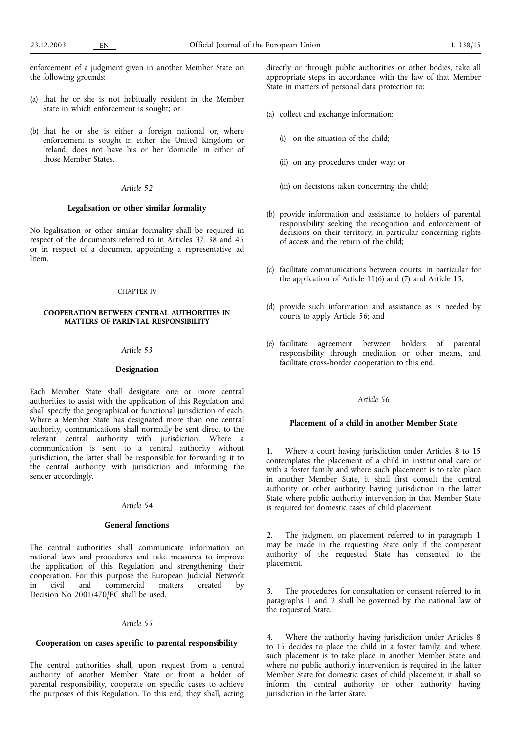enforcement of a judgment given in another Member State on the following grounds:

- (a) that he or she is not habitually resident in the Member State in which enforcement is sought; or
- (b) that he or she is either a foreign national or, where enforcement is sought in either the United Kingdom or Ireland, does not have his or her 'domicile' in either of those Member States.

## *Article 52*

#### **Legalisation or other similar formality**

No legalisation or other similar formality shall be required in respect of the documents referred to in Articles 37, 38 and 45 or in respect of a document appointing a representative ad litem.

#### CHAPTER IV

## **COOPERATION BETWEEN CENTRAL AUTHORITIES IN MATTERS OF PARENTAL RESPONSIBILITY**

#### *Article 53*

## **Designation**

Each Member State shall designate one or more central authorities to assist with the application of this Regulation and shall specify the geographical or functional jurisdiction of each. Where a Member State has designated more than one central authority, communications shall normally be sent direct to the relevant central authority with jurisdiction. Where a communication is sent to a central authority without jurisdiction, the latter shall be responsible for forwarding it to the central authority with jurisdiction and informing the sender accordingly.

## *Article 54*

## **General functions**

The central authorities shall communicate information on national laws and procedures and take measures to improve the application of this Regulation and strengthening their cooperation. For this purpose the European Judicial Network in civil and commercial matters created by Decision No 2001/470/EC shall be used.

#### *Article 55*

#### **Cooperation on cases specific to parental responsibility**

The central authorities shall, upon request from a central authority of another Member State or from a holder of parental responsibility, cooperate on specific cases to achieve the purposes of this Regulation. To this end, they shall, acting directly or through public authorities or other bodies, take all appropriate steps in accordance with the law of that Member State in matters of personal data protection to:

- (a) collect and exchange information:
	- (i) on the situation of the child;
	- (ii) on any procedures under way; or
	- (iii) on decisions taken concerning the child;
- (b) provide information and assistance to holders of parental responsibility seeking the recognition and enforcement of decisions on their territory, in particular concerning rights of access and the return of the child;
- (c) facilitate communications between courts, in particular for the application of Article 11(6) and (7) and Article 15;
- (d) provide such information and assistance as is needed by courts to apply Article 56; and
- (e) facilitate agreement between holders of parental responsibility through mediation or other means, and facilitate cross-border cooperation to this end.

## *Article 56*

## **Placement of a child in another Member State**

1. Where a court having jurisdiction under Articles 8 to 15 contemplates the placement of a child in institutional care or with a foster family and where such placement is to take place in another Member State, it shall first consult the central authority or other authority having jurisdiction in the latter State where public authority intervention in that Member State is required for domestic cases of child placement.

2. The judgment on placement referred to in paragraph 1 may be made in the requesting State only if the competent authority of the requested State has consented to the placement.

3. The procedures for consultation or consent referred to in paragraphs 1 and 2 shall be governed by the national law of the requested State.

Where the authority having jurisdiction under Articles 8 to 15 decides to place the child in a foster family, and where such placement is to take place in another Member State and where no public authority intervention is required in the latter Member State for domestic cases of child placement, it shall so inform the central authority or other authority having jurisdiction in the latter State.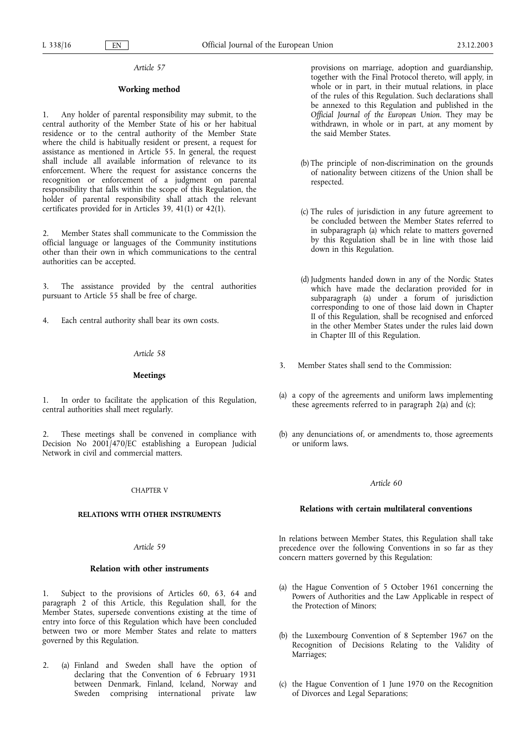## **Working method**

1. Any holder of parental responsibility may submit, to the central authority of the Member State of his or her habitual residence or to the central authority of the Member State where the child is habitually resident or present, a request for assistance as mentioned in Article 55. In general, the request shall include all available information of relevance to its enforcement. Where the request for assistance concerns the recognition or enforcement of a judgment on parental responsibility that falls within the scope of this Regulation, the holder of parental responsibility shall attach the relevant certificates provided for in Articles 39, 41(1) or 42(1).

2. Member States shall communicate to the Commission the official language or languages of the Community institutions other than their own in which communications to the central authorities can be accepted.

3. The assistance provided by the central authorities pursuant to Article 55 shall be free of charge.

4. Each central authority shall bear its own costs.

## *Article 58*

#### **Meetings**

1. In order to facilitate the application of this Regulation, central authorities shall meet regularly.

These meetings shall be convened in compliance with Decision No 2001/470/EC establishing a European Judicial Network in civil and commercial matters.

#### CHAPTER V

## **RELATIONS WITH OTHER INSTRUMENTS**

## *Article 59*

#### **Relation with other instruments**

1. Subject to the provisions of Articles 60, 63, 64 and paragraph 2 of this Article, this Regulation shall, for the Member States, supersede conventions existing at the time of entry into force of this Regulation which have been concluded between two or more Member States and relate to matters governed by this Regulation.

2. (a) Finland and Sweden shall have the option of declaring that the Convention of 6 February 1931 between Denmark, Finland, Iceland, Norway and Sweden comprising international private law provisions on marriage, adoption and guardianship, together with the Final Protocol thereto, will apply, in whole or in part, in their mutual relations, in place of the rules of this Regulation. Such declarations shall be annexed to this Regulation and published in the *Official Journal of the European Union*. They may be withdrawn, in whole or in part, at any moment by the said Member States.

- (b) The principle of non-discrimination on the grounds of nationality between citizens of the Union shall be respected.
- (c) The rules of jurisdiction in any future agreement to be concluded between the Member States referred to in subparagraph (a) which relate to matters governed by this Regulation shall be in line with those laid down in this Regulation.
- (d) Judgments handed down in any of the Nordic States which have made the declaration provided for in subparagraph (a) under a forum of jurisdiction corresponding to one of those laid down in Chapter II of this Regulation, shall be recognised and enforced in the other Member States under the rules laid down in Chapter III of this Regulation.
- 3. Member States shall send to the Commission:
- (a) a copy of the agreements and uniform laws implementing these agreements referred to in paragraph 2(a) and (c);
- (b) any denunciations of, or amendments to, those agreements or uniform laws.

#### *Article 60*

#### **Relations with certain multilateral conventions**

In relations between Member States, this Regulation shall take precedence over the following Conventions in so far as they concern matters governed by this Regulation:

- (a) the Hague Convention of 5 October 1961 concerning the Powers of Authorities and the Law Applicable in respect of the Protection of Minors;
- (b) the Luxembourg Convention of 8 September 1967 on the Recognition of Decisions Relating to the Validity of Marriages;
- (c) the Hague Convention of 1 June 1970 on the Recognition of Divorces and Legal Separations;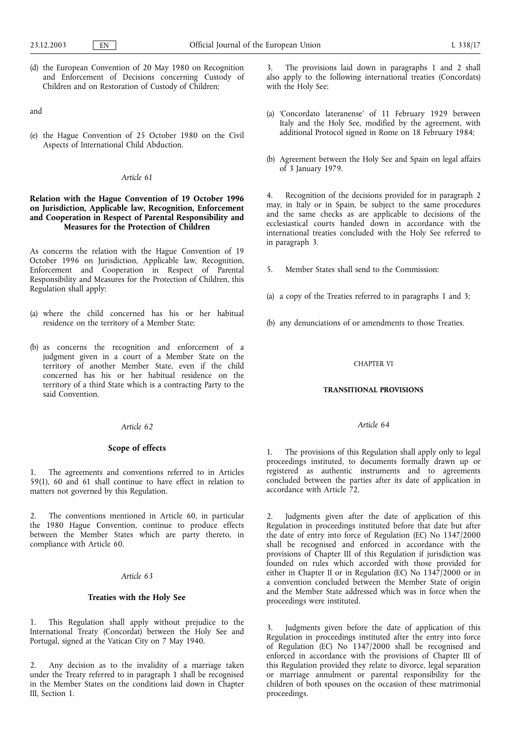(d) the European Convention of 20 May 1980 on Recognition and Enforcement of Decisions concerning Custody of Children and on Restoration of Custody of Children;

## and

(e) the Hague Convention of 25 October 1980 on the Civil Aspects of International Child Abduction.

#### *Article 61*

## **Relation with the Hague Convention of 19 October 1996 on Jurisdiction, Applicable law, Recognition, Enforcement and Cooperation in Respect of Parental Responsibility and Measures for the Protection of Children**

As concerns the relation with the Hague Convention of 19 October 1996 on Jurisdiction, Applicable law, Recognition, Enforcement and Cooperation in Respect of Parental Responsibility and Measures for the Protection of Children, this Regulation shall apply:

- (a) where the child concerned has his or her habitual residence on the territory of a Member State;
- (b) as concerns the recognition and enforcement of a judgment given in a court of a Member State on the territory of another Member State, even if the child concerned has his or her habitual residence on the territory of a third State which is a contracting Party to the said Convention.

#### *Article 62*

#### **Scope of effects**

The agreements and conventions referred to in Articles 59(1), 60 and 61 shall continue to have effect in relation to matters not governed by this Regulation.

2. The conventions mentioned in Article 60, in particular the 1980 Hague Convention, continue to produce effects between the Member States which are party thereto, in compliance with Article 60.

#### *Article 63*

#### **Treaties with the Holy See**

This Regulation shall apply without prejudice to the International Treaty (Concordat) between the Holy See and Portugal, signed at the Vatican City on 7 May 1940.

2. Any decision as to the invalidity of a marriage taken under the Treaty referred to in paragraph 1 shall be recognised in the Member States on the conditions laid down in Chapter III, Section 1.

The provisions laid down in paragraphs 1 and 2 shall also apply to the following international treaties (Concordats) with the Holy See:

- (a) 'Concordato lateranense' of 11 February 1929 between Italy and the Holy See, modified by the agreement, with additional Protocol signed in Rome on 18 February 1984;
- (b) Agreement between the Holy See and Spain on legal affairs of 3 January 1979.

4. Recognition of the decisions provided for in paragraph 2 may, in Italy or in Spain, be subject to the same procedures and the same checks as are applicable to decisions of the ecclesiastical courts handed down in accordance with the international treaties concluded with the Holy See referred to in paragraph 3.

- 5. Member States shall send to the Commission:
- (a) a copy of the Treaties referred to in paragraphs 1 and 3;
- (b) any denunciations of or amendments to those Treaties.

#### CHAPTER VI

## **TRANSITIONAL PROVISIONS**

#### *Article 64*

1. The provisions of this Regulation shall apply only to legal proceedings instituted, to documents formally drawn up or registered as authentic instruments and to agreements concluded between the parties after its date of application in accordance with Article 72.

2. Judgments given after the date of application of this Regulation in proceedings instituted before that date but after the date of entry into force of Regulation (EC) No 1347/2000 shall be recognised and enforced in accordance with the provisions of Chapter III of this Regulation if jurisdiction was founded on rules which accorded with those provided for either in Chapter II or in Regulation (EC) No 1347/2000 or in a convention concluded between the Member State of origin and the Member State addressed which was in force when the proceedings were instituted.

3. Judgments given before the date of application of this Regulation in proceedings instituted after the entry into force of Regulation (EC) No 1347/2000 shall be recognised and enforced in accordance with the provisions of Chapter III of this Regulation provided they relate to divorce, legal separation or marriage annulment or parental responsibility for the children of both spouses on the occasion of these matrimonial proceedings.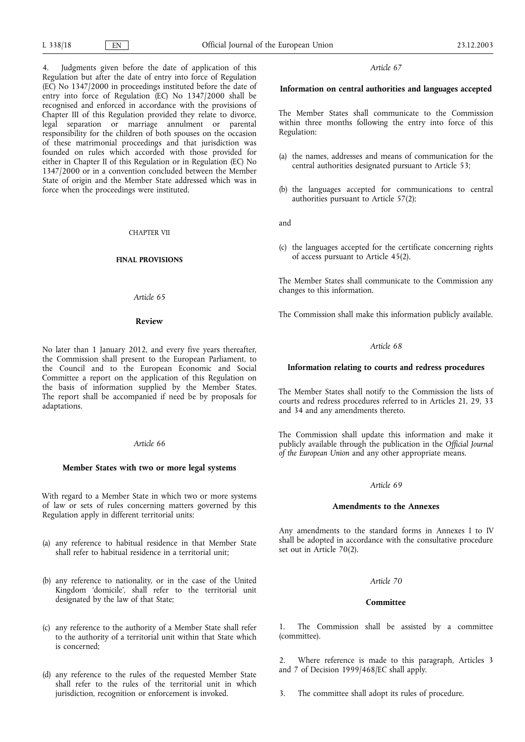Judgments given before the date of application of this Regulation but after the date of entry into force of Regulation (EC) No 1347/2000 in proceedings instituted before the date of entry into force of Regulation (EC) No 1347/2000 shall be recognised and enforced in accordance with the provisions of Chapter III of this Regulation provided they relate to divorce, legal separation or marriage annulment or parental responsibility for the children of both spouses on the occasion of these matrimonial proceedings and that jurisdiction was founded on rules which accorded with those provided for either in Chapter II of this Regulation or in Regulation (EC) No 1347/2000 or in a convention concluded between the Member State of origin and the Member State addressed which was in force when the proceedings were instituted.

#### CHAPTER VII

## **FINAL PROVISIONS**

#### *Article 65*

#### **Review**

No later than 1 January 2012, and every five years thereafter, the Commission shall present to the European Parliament, to the Council and to the European Economic and Social Committee a report on the application of this Regulation on the basis of information supplied by the Member States. The report shall be accompanied if need be by proposals for adaptations.

#### *Article 66*

#### **Member States with two or more legal systems**

With regard to a Member State in which two or more systems of law or sets of rules concerning matters governed by this Regulation apply in different territorial units:

- (a) any reference to habitual residence in that Member State shall refer to habitual residence in a territorial unit;
- (b) any reference to nationality, or in the case of the United Kingdom 'domicile', shall refer to the territorial unit designated by the law of that State;
- (c) any reference to the authority of a Member State shall refer to the authority of a territorial unit within that State which is concerned;
- (d) any reference to the rules of the requested Member State shall refer to the rules of the territorial unit in which jurisdiction, recognition or enforcement is invoked.

#### *Article 67*

#### **Information on central authorities and languages accepted**

The Member States shall communicate to the Commission within three months following the entry into force of this Regulation:

- (a) the names, addresses and means of communication for the central authorities designated pursuant to Article 53;
- (b) the languages accepted for communications to central authorities pursuant to Article 57(2);

and

(c) the languages accepted for the certificate concerning rights of access pursuant to Article 45(2).

The Member States shall communicate to the Commission any changes to this information.

The Commission shall make this information publicly available.

#### *Article 68*

#### **Information relating to courts and redress procedures**

The Member States shall notify to the Commission the lists of courts and redress procedures referred to in Articles 21, 29, 33 and 34 and any amendments thereto.

The Commission shall update this information and make it publicly available through the publication in the *Official Journal of the European Union* and any other appropriate means.

#### *Article 69*

#### **Amendments to the Annexes**

Any amendments to the standard forms in Annexes I to IV shall be adopted in accordance with the consultative procedure set out in Article 70(2).

#### *Article 70*

#### **Committee**

1. The Commission shall be assisted by a committee (committee).

2. Where reference is made to this paragraph, Articles 3 and 7 of Decision 1999/468/EC shall apply.

3. The committee shall adopt its rules of procedure.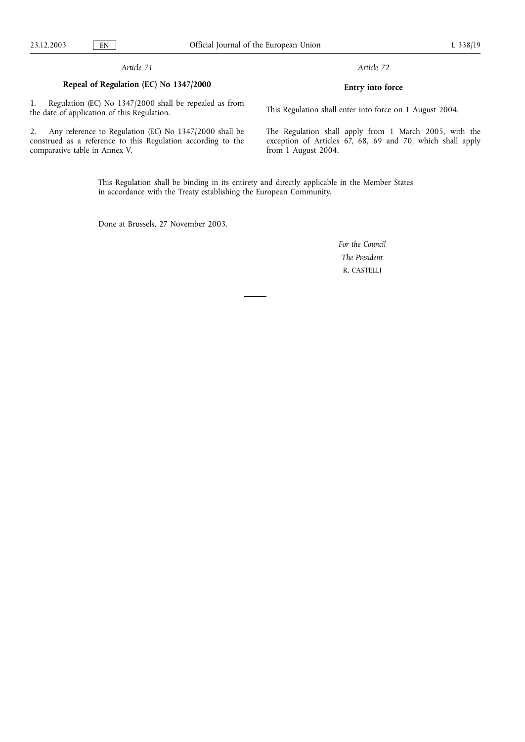## **Repeal of Regulation (EC) No 1347/2000**

1. Regulation (EC) No 1347/2000 shall be repealed as from the date of application of this Regulation.

2. Any reference to Regulation (EC) No 1347/2000 shall be construed as a reference to this Regulation according to the comparative table in Annex V.

This Regulation shall enter into force on 1 August 2004.

The Regulation shall apply from 1 March 2005, with the exception of Articles 67, 68, 69 and 70, which shall apply from 1 August 2004.

*Article 72*

**Entry into force**

This Regulation shall be binding in its entirety and directly applicable in the Member States in accordance with the Treaty establishing the European Community.

Done at Brussels, 27 November 2003.

*For the Council The President* R. CASTELLI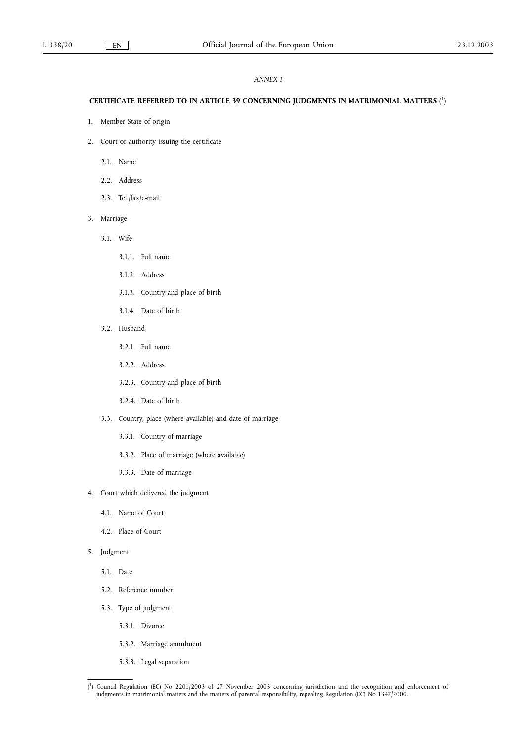## *ANNEX I*

#### **CERTIFICATE REFERRED TO IN ARTICLE 39 CONCERNING JUDGMENTS IN MATRIMONIAL MATTERS** ( 1)

- 1. Member State of origin
- 2. Court or authority issuing the certificate
	- 2.1. Name
	- 2.2. Address
	- 2.3. Tel./fax/e-mail
- 3. Marriage
	- 3.1. Wife
		- 3.1.1. Full name
		- 3.1.2. Address
		- 3.1.3. Country and place of birth
		- 3.1.4. Date of birth
	- 3.2. Husband
		- 3.2.1. Full name
		- 3.2.2. Address
		- 3.2.3. Country and place of birth
		- 3.2.4. Date of birth
	- 3.3. Country, place (where available) and date of marriage
		- 3.3.1. Country of marriage
		- 3.3.2. Place of marriage (where available)
		- 3.3.3. Date of marriage
- 4. Court which delivered the judgment
	- 4.1. Name of Court
	- 4.2. Place of Court
- 5. Judgment
	- 5.1. Date
	- 5.2. Reference number
	- 5.3. Type of judgment
		- 5.3.1. Divorce
		- 5.3.2. Marriage annulment
		- 5.3.3. Legal separation

<sup>(</sup> 1) Council Regulation (EC) No 2201/2003 of 27 November 2003 concerning jurisdiction and the recognition and enforcement of judgments in matrimonial matters and the matters of parental responsibility, repealing Regulation (EC) No 1347/2000.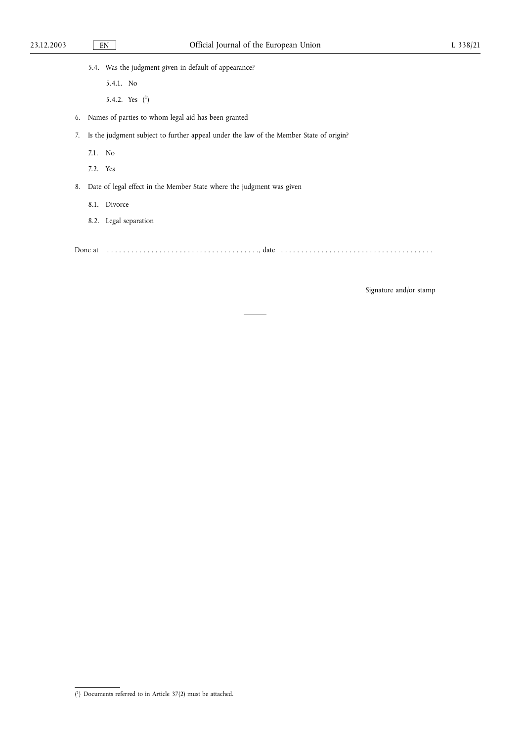5.4. Was the judgment given in default of appearance?

5.4.1. No

5.4.2. Yes (1)

6. Names of parties to whom legal aid has been granted

7. Is the judgment subject to further appeal under the law of the Member State of origin?

- 7.1. No
- 7.2. Yes
- 8. Date of legal effect in the Member State where the judgment was given
	- 8.1. Divorce
	- 8.2. Legal separation

Done at ......................................, date ......................................

Signature and/or stamp

<sup>(</sup> 1) Documents referred to in Article 37(2) must be attached.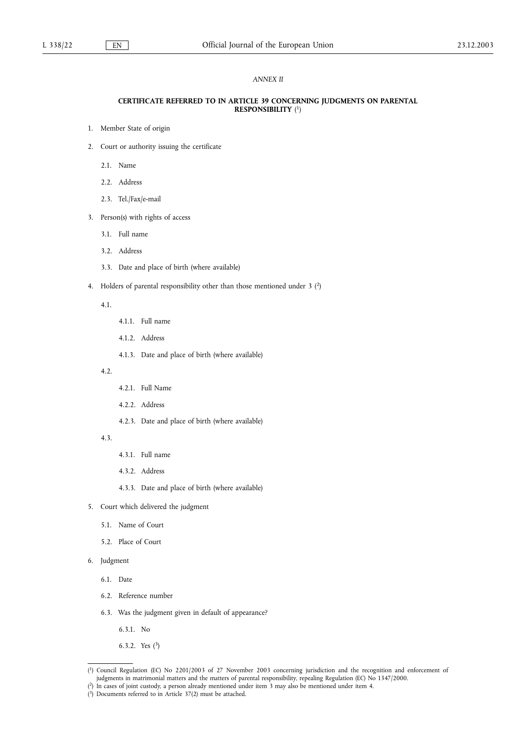## **CERTIFICATE REFERRED TO IN ARTICLE 39 CONCERNING JUDGMENTS ON PARENTAL RESPONSIBILITY** ( 1)

- 1. Member State of origin
- 2. Court or authority issuing the certificate
	- 2.1. Name
	- 2.2. Address
	- 2.3. Tel./Fax/e-mail
- 3. Person(s) with rights of access
	- 3.1. Full name
	- 3.2. Address
	- 3.3. Date and place of birth (where available)
- 4. Holders of parental responsibility other than those mentioned under  $3$  ( $2$ )

4.1.

- 4.1.1. Full name
- 4.1.2. Address
- 4.1.3. Date and place of birth (where available)

4.2.

- 4.2.1. Full Name
- 4.2.2. Address
- 4.2.3. Date and place of birth (where available)

4.3.

- 4.3.1. Full name
- 4.3.2. Address
- 4.3.3. Date and place of birth (where available)
- 5. Court which delivered the judgment
	- 5.1. Name of Court
	- 5.2. Place of Court
- 6. Judgment
	- 6.1. Date
	- 6.2. Reference number
	- 6.3. Was the judgment given in default of appearance?

6.3.1. No

6.3.2. Yes  $(^{3})$ 

# *ANNEX II*

<sup>(</sup> 1) Council Regulation (EC) No 2201/2003 of 27 November 2003 concerning jurisdiction and the recognition and enforcement of judgments in matrimonial matters and the matters of parental responsibility, repealing Regulation (EC) No 1347/2000.

<sup>(</sup> 2) In cases of joint custody, a person already mentioned under item 3 may also be mentioned under item 4.

<sup>(</sup> 3) Documents referred to in Article 37(2) must be attached.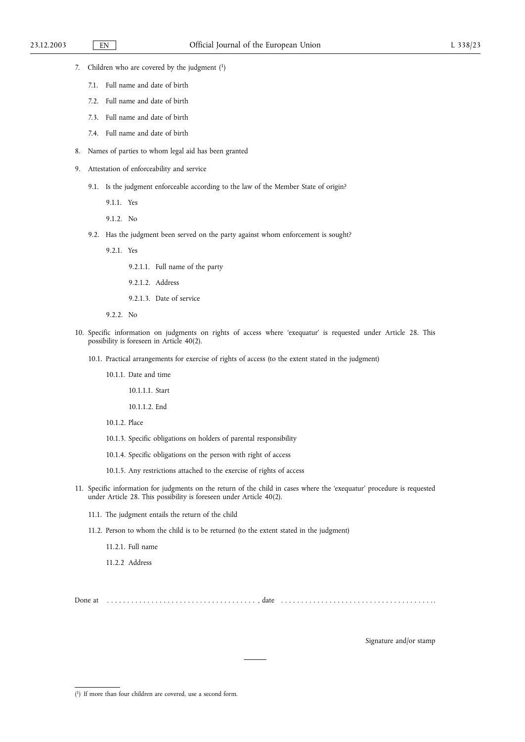- 7. Children who are covered by the judgment (1)
	- 7.1. Full name and date of birth
	- 7.2. Full name and date of birth
	- 7.3. Full name and date of birth
	- 7.4. Full name and date of birth
- 8. Names of parties to whom legal aid has been granted
- 9. Attestation of enforceability and service
	- 9.1. Is the judgment enforceable according to the law of the Member State of origin?
		- 9.1.1. Yes
		- 9.1.2. No
	- 9.2. Has the judgment been served on the party against whom enforcement is sought?
		- 9.2.1. Yes
			- 9.2.1.1. Full name of the party
			- 9.2.1.2. Address
			- 9.2.1.3. Date of service
		- 9.2.2. No
- 10. Specific information on judgments on rights of access where 'exequatur' is requested under Article 28. This possibility is foreseen in Article 40(2).
	- 10.1. Practical arrangements for exercise of rights of access (to the extent stated in the judgment)
		- 10.1.1. Date and time
			- 10.1.1.1. Start
			- 10.1.1.2. End
		- 10.1.2. Place
		- 10.1.3. Specific obligations on holders of parental responsibility
		- 10.1.4. Specific obligations on the person with right of access
		- 10.1.5. Any restrictions attached to the exercise of rights of access
- 11. Specific information for judgments on the return of the child in cases where the 'exequatur' procedure is requested under Article 28. This possibility is foreseen under Article 40(2).
	- 11.1. The judgment entails the return of the child
	- 11.2. Person to whom the child is to be returned (to the extent stated in the judgment)
		- 11.2.1. Full name
		- 11.2.2 Address

Done at ..................................... , date ...................................... .

Signature and/or stamp

<sup>(</sup> 1) If more than four children are covered, use a second form.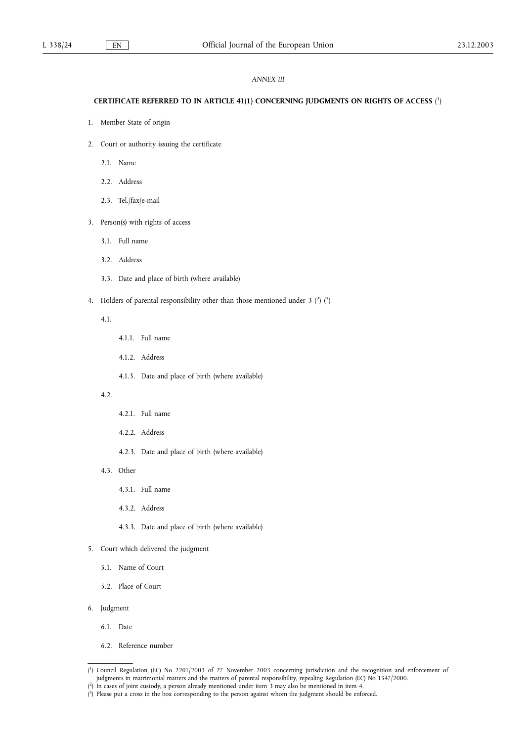## *ANNEX III*

#### **CERTIFICATE REFERRED TO IN ARTICLE 41(1) CONCERNING JUDGMENTS ON RIGHTS OF ACCESS** ( 1)

- 1. Member State of origin
- 2. Court or authority issuing the certificate
	- 2.1. Name
	- 2.2. Address
	- 2.3. Tel./fax/e-mail
- 3. Person(s) with rights of access
	- 3.1. Full name
	- 3.2. Address
	- 3.3. Date and place of birth (where available)
- 4. Holders of parental responsibility other than those mentioned under 3  $(2)$   $(3)$

#### 4.1.

- 4.1.1. Full name
- 4.1.2. Address
- 4.1.3. Date and place of birth (where available)

#### 4.2.

- 4.2.1. Full name
- 4.2.2. Address
- 4.2.3. Date and place of birth (where available)
- 4.3. Other
	- 4.3.1. Full name
	- 4.3.2. Address
	- 4.3.3. Date and place of birth (where available)
- 5. Court which delivered the judgment
	- 5.1. Name of Court
	- 5.2. Place of Court
- 6. Judgment
	- 6.1. Date
	- 6.2. Reference number

<sup>(</sup> 1) Council Regulation (EC) No 2201/2003 of 27 November 2003 concerning jurisdiction and the recognition and enforcement of

judgments in matrimonial matters and the matters of parental responsibility, repealing Regulation (EC) No 1347/2000.

<sup>(</sup> 2) In cases of joint custody, a person already mentioned under item 3 may also be mentioned in item 4.

<sup>(</sup> 3) Please put a cross in the box corresponding to the person against whom the judgment should be enforced.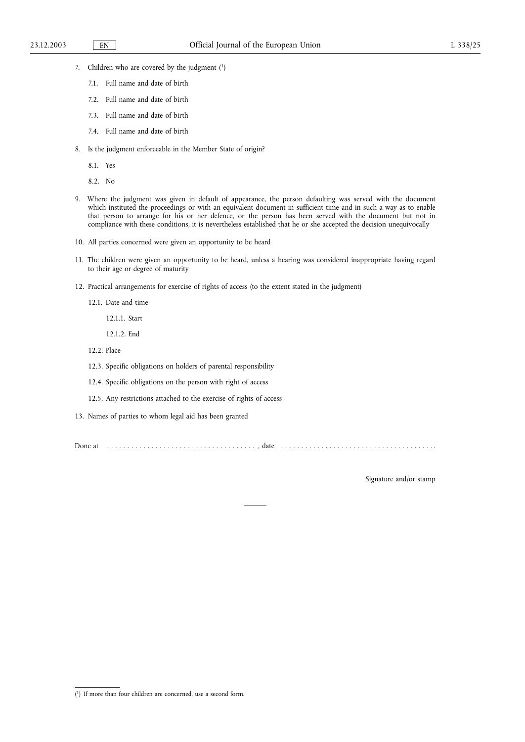- 7. Children who are covered by the judgment (1)
	- 7.1. Full name and date of birth
	- 7.2. Full name and date of birth
	- 7.3. Full name and date of birth
	- 7.4. Full name and date of birth
- 8. Is the judgment enforceable in the Member State of origin?
	- 8.1. Yes
	- 8.2. No
- 9. Where the judgment was given in default of appearance, the person defaulting was served with the document which instituted the proceedings or with an equivalent document in sufficient time and in such a way as to enable that person to arrange for his or her defence, or the person has been served with the document but not in compliance with these conditions, it is nevertheless established that he or she accepted the decision unequivocally
- 10. All parties concerned were given an opportunity to be heard
- 11. The children were given an opportunity to be heard, unless a hearing was considered inappropriate having regard to their age or degree of maturity
- 12. Practical arrangements for exercise of rights of access (to the extent stated in the judgment)
	- 12.1. Date and time
		- 12.1.1. Start
		- 12.1.2. End
	- 12.2. Place
	- 12.3. Specific obligations on holders of parental responsibility
	- 12.4. Specific obligations on the person with right of access
	- 12.5. Any restrictions attached to the exercise of rights of access
- 13. Names of parties to whom legal aid has been granted

Done at ..................................... , date ...................................... .

Signature and/or stamp

<sup>(</sup> 1) If more than four children are concerned, use a second form.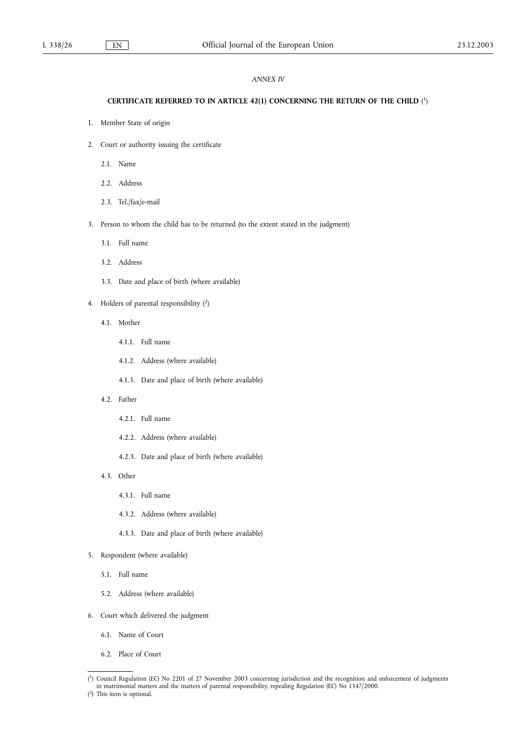## *ANNEX IV*

#### **CERTIFICATE REFERRED TO IN ARTICLE 42(1) CONCERNING THE RETURN OF THE CHILD** ( 1)

- 1. Member State of origin
- 2. Court or authority issuing the certificate
	- 2.1. Name
	- 2.2. Address
	- 2.3. Tel./fax/e-mail
- 3. Person to whom the child has to be returned (to the extent stated in the judgment)
	- 3.1. Full name
	- 3.2. Address
	- 3.3. Date and place of birth (where available)
- 4. Holders of parental responsibility (2)
	- 4.1. Mother
		- 4.1.1. Full name
		- 4.1.2. Address (where available)
		- 4.1.3. Date and place of birth (where available)
	- 4.2. Father
		- 4.2.1. Full name
		- 4.2.2. Address (where available)
		- 4.2.3. Date and place of birth (where available)
	- 4.3. Other
		- 4.3.1. Full name
		- 4.3.2. Address (where available)
		- 4.3.3. Date and place of birth (where available)
- 5. Respondent (where available)
	- 5.1. Full name
	- 5.2. Address (where available)
- 6. Court which delivered the judgment
	- 6.1. Name of Court
	- 6.2. Place of Court

<sup>(</sup> 1) Council Regulation (EC) No 2201 of 27 November 2003 concerning jurisdiction and the recognition and enforcement of judgments in matrimonial matters and the matters of parental responsibility, repealing Regulation (EC) No 1347/2000.

<sup>(</sup> 2) This item is optional.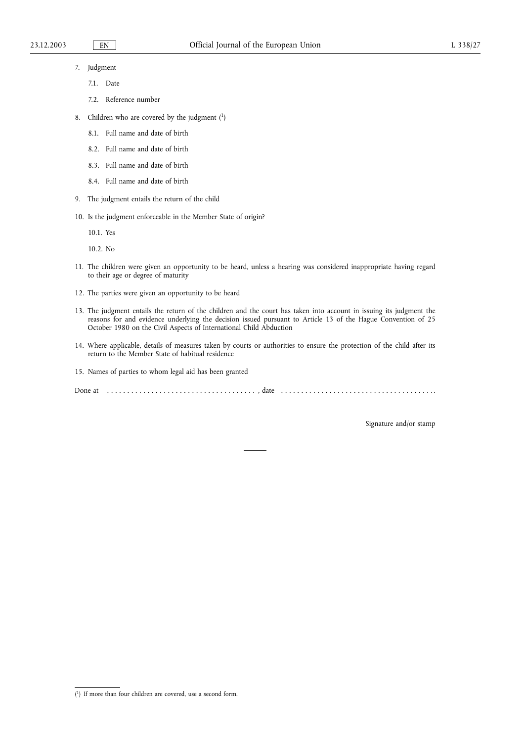- 7. Judgment
	- 7.1. Date
	- 7.2. Reference number
- 8. Children who are covered by the judgment  $(1)$ 
	- 8.1. Full name and date of birth
	- 8.2. Full name and date of birth
	- 8.3. Full name and date of birth
	- 8.4. Full name and date of birth
- 9. The judgment entails the return of the child
- 10. Is the judgment enforceable in the Member State of origin?
	- 10.1. Yes

10.2. No

- 11. The children were given an opportunity to be heard, unless a hearing was considered inappropriate having regard to their age or degree of maturity
- 12. The parties were given an opportunity to be heard
- 13. The judgment entails the return of the children and the court has taken into account in issuing its judgment the reasons for and evidence underlying the decision issued pursuant to Article 13 of the Hague Convention of 25 October 1980 on the Civil Aspects of International Child Abduction
- 14. Where applicable, details of measures taken by courts or authorities to ensure the protection of the child after its return to the Member State of habitual residence

15. Names of parties to whom legal aid has been granted

Done at ..................................... , date ...................................... .

Signature and/or stamp

<sup>(</sup> 1) If more than four children are covered, use a second form.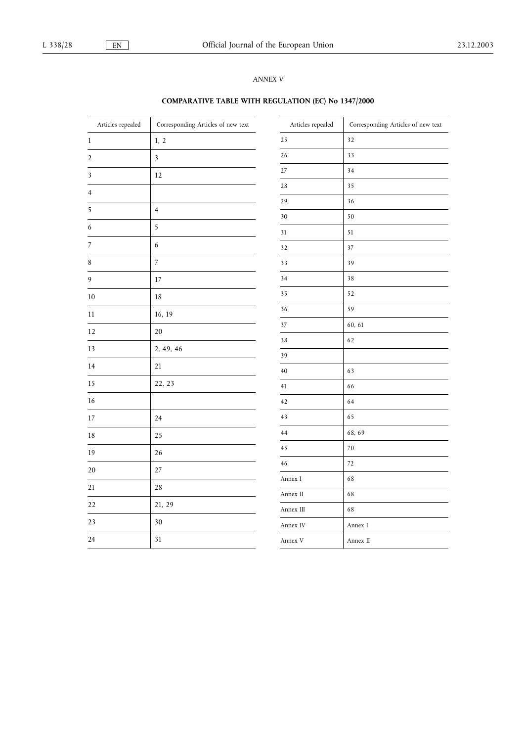## *ANNEX V*

#### Articles repealed Corresponding Articles of new text 1 1, 2 2 3 3 12 4 5 4 6 5 7 6 8 7 9 17 10 18 11 16, 19 12 20 13 2, 49, 46 14 21 15 22, 23 16 17 24 18 25 19 26 20 27 21 28 22 21, 29 23 30 24 31 Articles repealed Corresponding Articles of new text 25 32 26 33 27 34 28 35 29 36 30 50 31 51 32 37 33 39 34 38 35 52 36 59 37 60, 61 38 62 39 40 63 41 66 42 64 43 65 44 68, 69 45 70 46 72 Annex I 68 Annex II 68 Annex III 68 Annex IV Annex I Annex V Annex II

# **COMPARATIVE TABLE WITH REGULATION (EC) No 1347/2000**